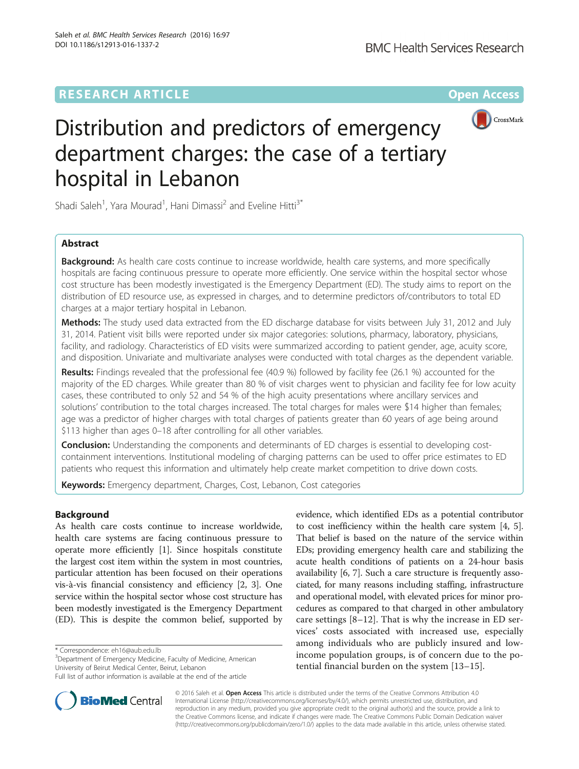# **RESEARCH ARTICLE External Structure Community Community Community Community Community Community Community Community**



# Distribution and predictors of emergency department charges: the case of a tertiary hospital in Lebanon

Shadi Saleh<sup>1</sup>, Yara Mourad<sup>1</sup>, Hani Dimassi<sup>2</sup> and Eveline Hitti<sup>3\*</sup>

# Abstract

**Background:** As health care costs continue to increase worldwide, health care systems, and more specifically hospitals are facing continuous pressure to operate more efficiently. One service within the hospital sector whose cost structure has been modestly investigated is the Emergency Department (ED). The study aims to report on the distribution of ED resource use, as expressed in charges, and to determine predictors of/contributors to total ED charges at a major tertiary hospital in Lebanon.

Methods: The study used data extracted from the ED discharge database for visits between July 31, 2012 and July 31, 2014. Patient visit bills were reported under six major categories: solutions, pharmacy, laboratory, physicians, facility, and radiology. Characteristics of ED visits were summarized according to patient gender, age, acuity score, and disposition. Univariate and multivariate analyses were conducted with total charges as the dependent variable.

Results: Findings revealed that the professional fee (40.9 %) followed by facility fee (26.1 %) accounted for the majority of the ED charges. While greater than 80 % of visit charges went to physician and facility fee for low acuity cases, these contributed to only 52 and 54 % of the high acuity presentations where ancillary services and solutions' contribution to the total charges increased. The total charges for males were \$14 higher than females; age was a predictor of higher charges with total charges of patients greater than 60 years of age being around \$113 higher than ages 0–18 after controlling for all other variables.

**Conclusion:** Understanding the components and determinants of ED charges is essential to developing costcontainment interventions. Institutional modeling of charging patterns can be used to offer price estimates to ED patients who request this information and ultimately help create market competition to drive down costs.

Keywords: Emergency department, Charges, Cost, Lebanon, Cost categories

# Background

As health care costs continue to increase worldwide, health care systems are facing continuous pressure to operate more efficiently [[1\]](#page-6-0). Since hospitals constitute the largest cost item within the system in most countries, particular attention has been focused on their operations vis-à-vis financial consistency and efficiency [\[2](#page-6-0), [3](#page-6-0)]. One service within the hospital sector whose cost structure has been modestly investigated is the Emergency Department (ED). This is despite the common belief, supported by

Department of Emergency Medicine, Faculty of Medicine, American University of Beirut Medical Center, Beirut, Lebanon

Full list of author information is available at the end of the article





© 2016 Saleh et al. Open Access This article is distributed under the terms of the Creative Commons Attribution 4.0 International License [\(http://creativecommons.org/licenses/by/4.0/](http://creativecommons.org/licenses/by/4.0/)), which permits unrestricted use, distribution, and reproduction in any medium, provided you give appropriate credit to the original author(s) and the source, provide a link to the Creative Commons license, and indicate if changes were made. The Creative Commons Public Domain Dedication waiver [\(http://creativecommons.org/publicdomain/zero/1.0/](http://creativecommons.org/publicdomain/zero/1.0/)) applies to the data made available in this article, unless otherwise stated.

<sup>\*</sup> Correspondence: [eh16@aub.edu.lb](mailto:eh16@aub.edu.lb) <sup>3</sup>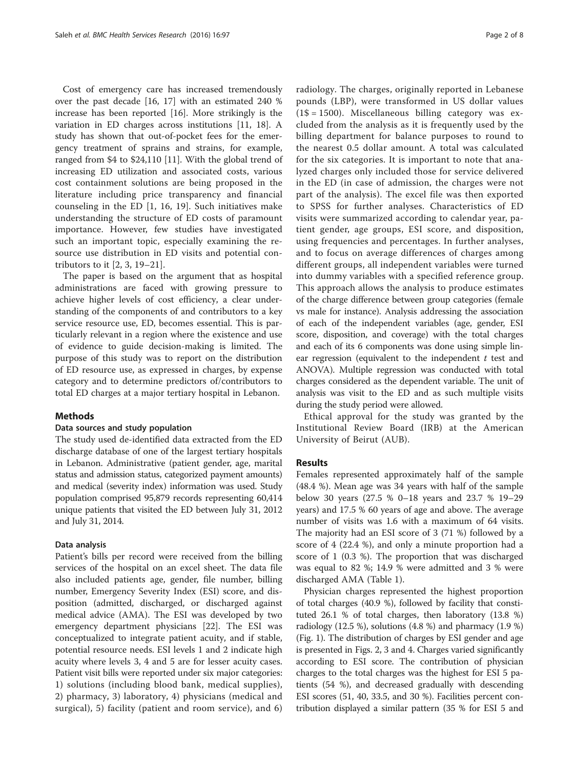Cost of emergency care has increased tremendously over the past decade [[16, 17\]](#page-6-0) with an estimated 240 % increase has been reported [\[16](#page-6-0)]. More strikingly is the variation in ED charges across institutions [[11, 18](#page-6-0)]. A study has shown that out-of-pocket fees for the emergency treatment of sprains and strains, for example, ranged from \$4 to \$24,110 [\[11](#page-6-0)]. With the global trend of increasing ED utilization and associated costs, various cost containment solutions are being proposed in the literature including price transparency and financial counseling in the ED [[1, 16,](#page-6-0) [19](#page-7-0)]. Such initiatives make understanding the structure of ED costs of paramount importance. However, few studies have investigated such an important topic, especially examining the resource use distribution in ED visits and potential contributors to it [[2, 3,](#page-6-0) [19](#page-7-0)–[21](#page-7-0)].

The paper is based on the argument that as hospital administrations are faced with growing pressure to achieve higher levels of cost efficiency, a clear understanding of the components of and contributors to a key service resource use, ED, becomes essential. This is particularly relevant in a region where the existence and use of evidence to guide decision-making is limited. The purpose of this study was to report on the distribution of ED resource use, as expressed in charges, by expense category and to determine predictors of/contributors to total ED charges at a major tertiary hospital in Lebanon.

# **Methods**

#### Data sources and study population

The study used de-identified data extracted from the ED discharge database of one of the largest tertiary hospitals in Lebanon. Administrative (patient gender, age, marital status and admission status, categorized payment amounts) and medical (severity index) information was used. Study population comprised 95,879 records representing 60,414 unique patients that visited the ED between July 31, 2012 and July 31, 2014.

#### Data analysis

Patient's bills per record were received from the billing services of the hospital on an excel sheet. The data file also included patients age, gender, file number, billing number, Emergency Severity Index (ESI) score, and disposition (admitted, discharged, or discharged against medical advice (AMA). The ESI was developed by two emergency department physicians [[22](#page-7-0)]. The ESI was conceptualized to integrate patient acuity, and if stable, potential resource needs. ESI levels 1 and 2 indicate high acuity where levels 3, 4 and 5 are for lesser acuity cases. Patient visit bills were reported under six major categories: 1) solutions (including blood bank, medical supplies), 2) pharmacy, 3) laboratory, 4) physicians (medical and surgical), 5) facility (patient and room service), and 6) radiology. The charges, originally reported in Lebanese pounds (LBP), were transformed in US dollar values  $(1\$  = 1500). Miscellaneous billing category was excluded from the analysis as it is frequently used by the billing department for balance purposes to round to the nearest 0.5 dollar amount. A total was calculated for the six categories. It is important to note that analyzed charges only included those for service delivered in the ED (in case of admission, the charges were not part of the analysis). The excel file was then exported to SPSS for further analyses. Characteristics of ED visits were summarized according to calendar year, patient gender, age groups, ESI score, and disposition, using frequencies and percentages. In further analyses, and to focus on average differences of charges among different groups, all independent variables were turned into dummy variables with a specified reference group. This approach allows the analysis to produce estimates of the charge difference between group categories (female vs male for instance). Analysis addressing the association of each of the independent variables (age, gender, ESI score, disposition, and coverage) with the total charges and each of its 6 components was done using simple linear regression (equivalent to the independent  $t$  test and ANOVA). Multiple regression was conducted with total charges considered as the dependent variable. The unit of analysis was visit to the ED and as such multiple visits during the study period were allowed.

Ethical approval for the study was granted by the Institutional Review Board (IRB) at the American University of Beirut (AUB).

#### Results

Females represented approximately half of the sample (48.4 %). Mean age was 34 years with half of the sample below 30 years (27.5 % 0–18 years and 23.7 % 19–29 years) and 17.5 % 60 years of age and above. The average number of visits was 1.6 with a maximum of 64 visits. The majority had an ESI score of 3 (71 %) followed by a score of 4 (22.4 %), and only a minute proportion had a score of 1 (0.3 %). The proportion that was discharged was equal to 82 %; 14.9 % were admitted and 3 % were discharged AMA (Table [1\)](#page-2-0).

Physician charges represented the highest proportion of total charges (40.9 %), followed by facility that constituted 26.1 % of total charges, then laboratory (13.8 %) radiology (12.5 %), solutions (4.8 %) and pharmacy (1.9 %) (Fig. [1\)](#page-2-0). The distribution of charges by ESI gender and age is presented in Figs. [2, 3](#page-3-0) and [4.](#page-4-0) Charges varied significantly according to ESI score. The contribution of physician charges to the total charges was the highest for ESI 5 patients (54 %), and decreased gradually with descending ESI scores (51, 40, 33.5, and 30 %). Facilities percent contribution displayed a similar pattern (35 % for ESI 5 and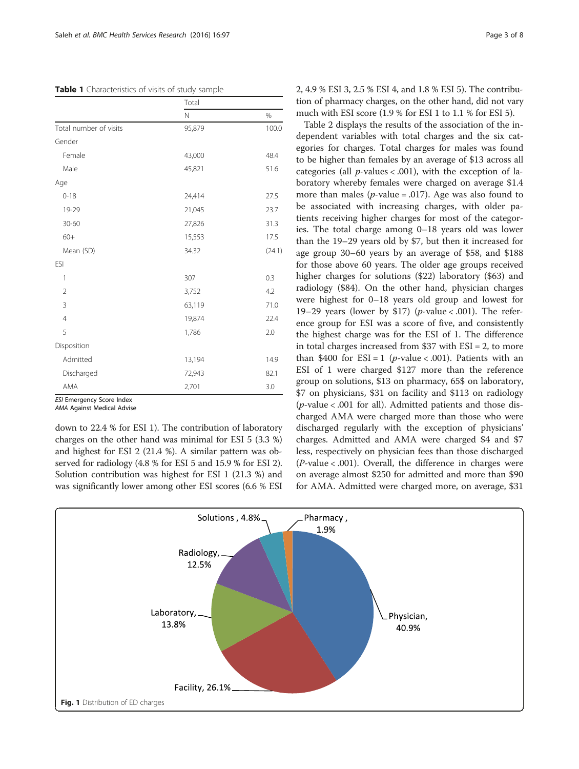## <span id="page-2-0"></span>Table 1 Characteristics of visits of study sample

|                        | Total  |        |  |  |
|------------------------|--------|--------|--|--|
|                        | N      | %      |  |  |
| Total number of visits | 95,879 | 100.0  |  |  |
| Gender                 |        |        |  |  |
| Female                 | 43,000 | 48.4   |  |  |
| Male                   | 45,821 | 51.6   |  |  |
| Age                    |        |        |  |  |
| $0 - 18$               | 24,414 | 27.5   |  |  |
| 19-29                  | 21,045 | 23.7   |  |  |
| $30 - 60$              | 27,826 | 31.3   |  |  |
| $60+$                  | 15,553 | 17.5   |  |  |
| Mean (SD)              | 34.32  | (24.1) |  |  |
| <b>ESI</b>             |        |        |  |  |
| 1                      | 307    | 0.3    |  |  |
| $\overline{2}$         | 3,752  | 4.2    |  |  |
| 3                      | 63,119 | 71.0   |  |  |
| $\overline{4}$         | 19,874 | 22.4   |  |  |
| 5                      | 1,786  | 2.0    |  |  |
| Disposition            |        |        |  |  |
| Admitted               | 13,194 | 14.9   |  |  |
| Discharged             | 72,943 | 82.1   |  |  |
| AMA                    | 2,701  | 3.0    |  |  |

ESI Emergency Score Index

AMA Against Medical Advise

down to 22.4 % for ESI 1). The contribution of laboratory charges on the other hand was minimal for ESI 5 (3.3 %) and highest for ESI 2 (21.4 %). A similar pattern was observed for radiology (4.8 % for ESI 5 and 15.9 % for ESI 2). Solution contribution was highest for ESI 1 (21.3 %) and was significantly lower among other ESI scores (6.6 % ESI 2, 4.9 % ESI 3, 2.5 % ESI 4, and 1.8 % ESI 5). The contribution of pharmacy charges, on the other hand, did not vary much with ESI score (1.9 % for ESI 1 to 1.1 % for ESI 5).

Table [2](#page-4-0) displays the results of the association of the independent variables with total charges and the six categories for charges. Total charges for males was found to be higher than females by an average of \$13 across all categories (all  $p$ -values < .001), with the exception of laboratory whereby females were charged on average \$1.4 more than males ( $p$ -value = .017). Age was also found to be associated with increasing charges, with older patients receiving higher charges for most of the categories. The total charge among 0–18 years old was lower than the 19–29 years old by \$7, but then it increased for age group 30–60 years by an average of \$58, and \$188 for those above 60 years. The older age groups received higher charges for solutions (\$22) laboratory (\$63) and radiology (\$84). On the other hand, physician charges were highest for 0–18 years old group and lowest for 19–29 years (lower by \$17) ( $p$ -value < .001). The reference group for ESI was a score of five, and consistently the highest charge was for the ESI of 1. The difference in total charges increased from \$37 with ESI = 2, to more than \$400 for  $ESI = 1$  (*p*-value < .001). Patients with an ESI of 1 were charged \$127 more than the reference group on solutions, \$13 on pharmacy, 65\$ on laboratory, \$7 on physicians, \$31 on facility and \$113 on radiology ( $p$ -value < .001 for all). Admitted patients and those discharged AMA were charged more than those who were discharged regularly with the exception of physicians' charges. Admitted and AMA were charged \$4 and \$7 less, respectively on physician fees than those discharged  $(P$ -value < .001). Overall, the difference in charges were on average almost \$250 for admitted and more than \$90 for AMA. Admitted were charged more, on average, \$31

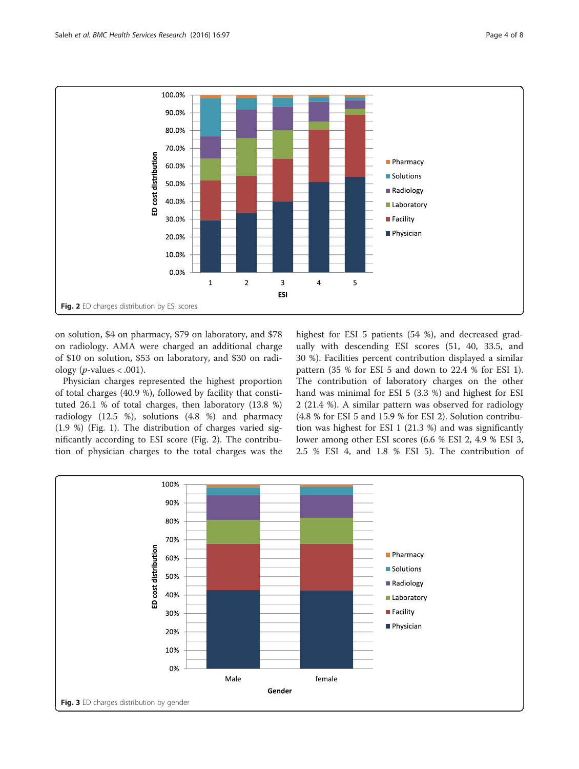<span id="page-3-0"></span>

on solution, \$4 on pharmacy, \$79 on laboratory, and \$78 on radiology. AMA were charged an additional charge of \$10 on solution, \$53 on laboratory, and \$30 on radiology (*p*-values < .001).

Physician charges represented the highest proportion of total charges (40.9 %), followed by facility that constituted 26.1 % of total charges, then laboratory (13.8 %) radiology (12.5 %), solutions (4.8 %) and pharmacy (1.9 %) (Fig. [1](#page-2-0)). The distribution of charges varied significantly according to ESI score (Fig. 2). The contribution of physician charges to the total charges was the highest for ESI 5 patients (54 %), and decreased gradually with descending ESI scores (51, 40, 33.5, and 30 %). Facilities percent contribution displayed a similar pattern (35 % for ESI 5 and down to 22.4 % for ESI 1). The contribution of laboratory charges on the other hand was minimal for ESI 5 (3.3 %) and highest for ESI 2 (21.4 %). A similar pattern was observed for radiology (4.8 % for ESI 5 and 15.9 % for ESI 2). Solution contribution was highest for ESI 1 (21.3 %) and was significantly lower among other ESI scores (6.6 % ESI 2, 4.9 % ESI 3, 2.5 % ESI 4, and 1.8 % ESI 5). The contribution of

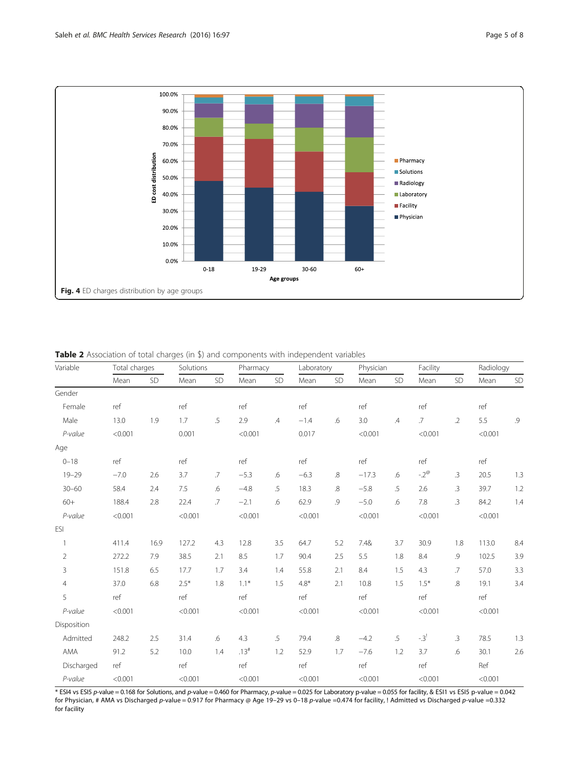<span id="page-4-0"></span>

Table 2 Association of total charges (in \$) and components with independent variables

| Variable       | Total charges |      | Solutions |        | Pharmacy |               | Laboratory |     | Physician |               | Facility         |            | Radiology |         |
|----------------|---------------|------|-----------|--------|----------|---------------|------------|-----|-----------|---------------|------------------|------------|-----------|---------|
|                | Mean          | SD   | Mean      | SD     | Mean     | SD            | Mean       | SD  | Mean      | SD            | Mean             | SD         | Mean      | SD      |
| Gender         |               |      |           |        |          |               |            |     |           |               |                  |            |           |         |
| Female         | ref           |      | ref       |        | ref      |               | ref        |     | ref       |               | ref              |            | ref       |         |
| Male           | 13.0          | 1.9  | 1.7       | $.5\,$ | 2.9      | $\mathcal{A}$ | $-1.4$     | .6  | 3.0       | $\mathcal{A}$ | $.7\phantom{0}$  | $\cdot$ .2 | 5.5       | $.9$    |
| P-value        | < 0.001       |      | 0.001     |        | < 0.001  |               | 0.017      |     | < 0.001   |               | < 0.001          |            | < 0.001   |         |
| Age            |               |      |           |        |          |               |            |     |           |               |                  |            |           |         |
| $0 - 18$       | ref           |      | ref       |        | ref      |               | ref        |     | ref       |               | ref              |            | ref       |         |
| $19 - 29$      | $-7.0$        | 2.6  | 3.7       | .7     | $-5.3$   | .6            | $-6.3$     | .8  | $-17.3$   | .6            | $-2^\varnothing$ | .3         | 20.5      | 1.3     |
| $30 - 60$      | 58.4          | 2.4  | 7.5       | .6     | $-4.8$   | .5            | 18.3       | .8  | $-5.8$    | .5            | 2.6              | .3         | 39.7      | $1.2\,$ |
| $60+$          | 188.4         | 2.8  | 22.4      | .7     | $-2.1$   | .6            | 62.9       | .9  | $-5.0$    | .6            | 7.8              | $\cdot$ 3  | 84.2      | 1.4     |
| P-value        | < 0.001       |      | < 0.001   |        | < 0.001  |               | < 0.001    |     | < 0.001   |               | < 0.001          |            | < 0.001   |         |
| ESI            |               |      |           |        |          |               |            |     |           |               |                  |            |           |         |
| 1              | 411.4         | 16.9 | 127.2     | 4.3    | 12.8     | 3.5           | 64.7       | 5.2 | 7.4&      | 3.7           | 30.9             | 1.8        | 113.0     | 8.4     |
| $\overline{2}$ | 272.2         | 7.9  | 38.5      | 2.1    | 8.5      | 1.7           | 90.4       | 2.5 | 5.5       | 1.8           | 8.4              | .9         | 102.5     | 3.9     |
| 3              | 151.8         | 6.5  | 17.7      | 1.7    | 3.4      | 1.4           | 55.8       | 2.1 | 8.4       | 1.5           | 4.3              | .7         | 57.0      | 3.3     |
| $\overline{4}$ | 37.0          | 6.8  | $2.5*$    | 1.8    | $1.1*$   | 1.5           | $4.8*$     | 2.1 | 10.8      | 1.5           | $1.5*$           | .8         | 19.1      | 3.4     |
| 5              | ref           |      | ref       |        | ref      |               | ref        |     | ref       |               | ref              |            | ref       |         |
| P-value        | < 0.001       |      | < 0.001   |        | < 0.001  |               | < 0.001    |     | < 0.001   |               | < 0.001          |            | < 0.001   |         |
| Disposition    |               |      |           |        |          |               |            |     |           |               |                  |            |           |         |
| Admitted       | 248.2         | 2.5  | 31.4      | .6     | 4.3      | .5            | 79.4       | .8  | $-4.2$    | .5            | $-3^{!}$         | $\cdot$ 3  | 78.5      | 1.3     |
| AMA            | 91.2          | 5.2  | 10.0      | 1.4    | .13#     | 1.2           | 52.9       | 1.7 | $-7.6$    | 1.2           | 3.7              | .6         | 30.1      | 2.6     |
| Discharged     | ref           |      | ref       |        | ref      |               | ref        |     | ref       |               | ref              |            | Ref       |         |
| P-value        | < 0.001       |      | < 0.001   |        | < 0.001  |               | < 0.001    |     | < 0.001   |               | < 0.001          |            | < 0.001   |         |

 $^{\ast}$  ESI4 vs ESI5  $p$ -value = 0.168 for Solutions, and  $p$ -value = 0.460 for Pharmacy,  $p$ -value = 0.025 for Laboratory  $p$ -value = 0.055 for facility, & ESI1 vs ESI5  $p$ -value = 0.042 for Physician, # AMA vs Discharged p-value = 0.917 for Pharmacy @ Age 19–29 vs 0–18 p-value =0.474 for facility, ! Admitted vs Discharged p-value =0.332 for facility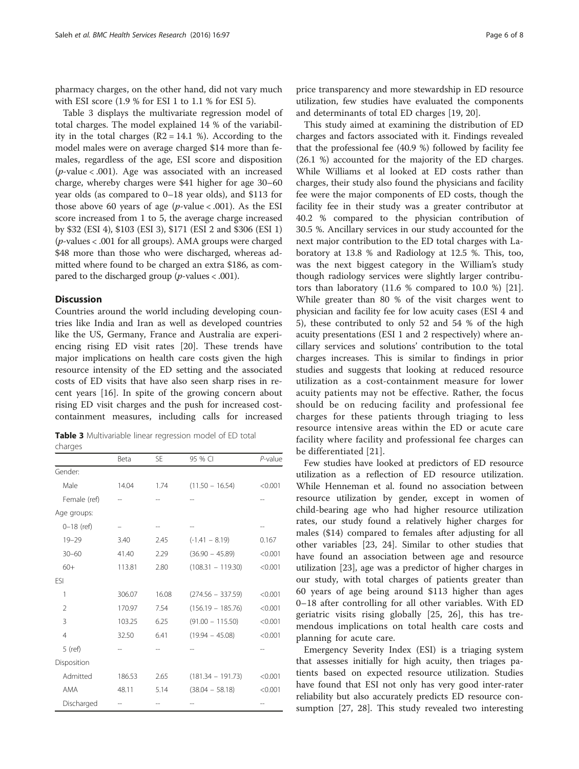pharmacy charges, on the other hand, did not vary much with ESI score (1.9 % for ESI 1 to 1.1 % for ESI 5).

Table 3 displays the multivariate regression model of total charges. The model explained 14 % of the variability in the total charges  $(R2 = 14.1 \%)$ . According to the model males were on average charged \$14 more than females, regardless of the age, ESI score and disposition ( $p$ -value < .001). Age was associated with an increased charge, whereby charges were \$41 higher for age 30–60 year olds (as compared to 0–18 year olds), and \$113 for those above 60 years of age ( $p$ -value < .001). As the ESI score increased from 1 to 5, the average charge increased by \$32 (ESI 4), \$103 (ESI 3), \$171 (ESI 2 and \$306 (ESI 1) (p-values < .001 for all groups). AMA groups were charged \$48 more than those who were discharged, whereas admitted where found to be charged an extra \$186, as compared to the discharged group ( $p$ -values < .001).

## **Discussion**

charges

Countries around the world including developing countries like India and Iran as well as developed countries like the US, Germany, France and Australia are experiencing rising ED visit rates [[20](#page-7-0)]. These trends have major implications on health care costs given the high resource intensity of the ED setting and the associated costs of ED visits that have also seen sharp rises in recent years [[16\]](#page-6-0). In spite of the growing concern about rising ED visit charges and the push for increased costcontainment measures, including calls for increased

Table 3 Multivariable linear regression model of ED total

|                | Beta   | <b>SE</b> | 95 % CI             | $P$ -value |
|----------------|--------|-----------|---------------------|------------|
| Gender:        |        |           |                     |            |
| Male           | 14.04  | 1.74      | $(11.50 - 16.54)$   | < 0.001    |
| Female (ref)   |        |           |                     |            |
| Age groups:    |        |           |                     |            |
| $0 - 18$ (ref) |        |           |                     |            |
| $19 - 29$      | 3.40   | 2.45      | $(-1.41 - 8.19)$    | 0.167      |
| $30 - 60$      | 41.40  | 2.29      | $(36.90 - 45.89)$   | < 0.001    |
| $60+$          | 113.81 | 2.80      | $(108.31 - 119.30)$ | < 0.001    |
| ESI            |        |           |                     |            |
| 1              | 306.07 | 16.08     | $(274.56 - 337.59)$ | < 0.001    |
| 2              | 170.97 | 7.54      | $(156.19 - 185.76)$ | < 0.001    |
| 3              | 103.25 | 6.25      | $(91.00 - 115.50)$  | < 0.001    |
| $\overline{4}$ | 32.50  | 6.41      | $(19.94 - 45.08)$   | < 0.001    |
| $5$ (ref)      |        |           |                     |            |
| Disposition    |        |           |                     |            |
| Admitted       | 186.53 | 2.65      | $(181.34 - 191.73)$ | < 0.001    |
| AMA            | 48.11  | 5.14      | $(38.04 - 58.18)$   | < 0.001    |
| Discharged     |        |           |                     |            |

price transparency and more stewardship in ED resource utilization, few studies have evaluated the components and determinants of total ED charges [\[19](#page-7-0), [20](#page-7-0)].

This study aimed at examining the distribution of ED charges and factors associated with it. Findings revealed that the professional fee (40.9 %) followed by facility fee (26.1 %) accounted for the majority of the ED charges. While Williams et al looked at ED costs rather than charges, their study also found the physicians and facility fee were the major components of ED costs, though the facility fee in their study was a greater contributor at 40.2 % compared to the physician contribution of 30.5 %. Ancillary services in our study accounted for the next major contribution to the ED total charges with Laboratory at 13.8 % and Radiology at 12.5 %. This, too, was the next biggest category in the William's study though radiology services were slightly larger contributors than laboratory (11.6 % compared to 10.0 %) [\[21](#page-7-0)]. While greater than 80 % of the visit charges went to physician and facility fee for low acuity cases (ESI 4 and 5), these contributed to only 52 and 54 % of the high acuity presentations (ESI 1 and 2 respectively) where ancillary services and solutions' contribution to the total charges increases. This is similar to findings in prior studies and suggests that looking at reduced resource utilization as a cost-containment measure for lower acuity patients may not be effective. Rather, the focus should be on reducing facility and professional fee charges for these patients through triaging to less resource intensive areas within the ED or acute care facility where facility and professional fee charges can be differentiated [\[21](#page-7-0)].

Few studies have looked at predictors of ED resource utilization as a reflection of ED resource utilization. While Henneman et al. found no association between resource utilization by gender, except in women of child-bearing age who had higher resource utilization rates, our study found a relatively higher charges for males (\$14) compared to females after adjusting for all other variables [\[23, 24](#page-7-0)]. Similar to other studies that have found an association between age and resource utilization [[23](#page-7-0)], age was a predictor of higher charges in our study, with total charges of patients greater than 60 years of age being around \$113 higher than ages 0–18 after controlling for all other variables. With ED geriatric visits rising globally [[25, 26](#page-7-0)], this has tremendous implications on total health care costs and planning for acute care.

Emergency Severity Index (ESI) is a triaging system that assesses initially for high acuity, then triages patients based on expected resource utilization. Studies have found that ESI not only has very good inter-rater reliability but also accurately predicts ED resource consumption [\[27](#page-7-0), [28\]](#page-7-0). This study revealed two interesting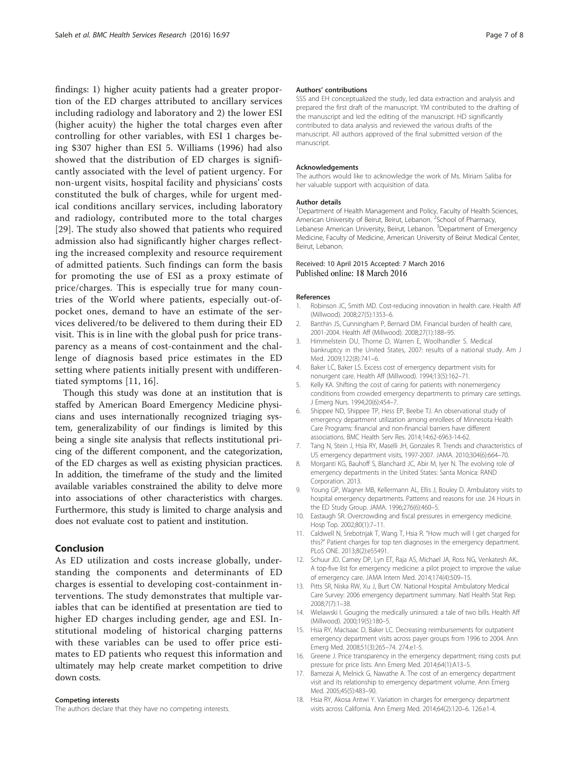<span id="page-6-0"></span>findings: 1) higher acuity patients had a greater proportion of the ED charges attributed to ancillary services including radiology and laboratory and 2) the lower ESI (higher acuity) the higher the total charges even after controlling for other variables, with ESI 1 charges being \$307 higher than ESI 5. Williams (1996) had also showed that the distribution of ED charges is significantly associated with the level of patient urgency. For non-urgent visits, hospital facility and physicians' costs constituted the bulk of charges, while for urgent medical conditions ancillary services, including laboratory and radiology, contributed more to the total charges [[29](#page-7-0)]. The study also showed that patients who required admission also had significantly higher charges reflecting the increased complexity and resource requirement of admitted patients. Such findings can form the basis for promoting the use of ESI as a proxy estimate of price/charges. This is especially true for many countries of the World where patients, especially out-ofpocket ones, demand to have an estimate of the services delivered/to be delivered to them during their ED visit. This is in line with the global push for price transparency as a means of cost-containment and the challenge of diagnosis based price estimates in the ED setting where patients initially present with undifferentiated symptoms [11, 16].

Though this study was done at an institution that is staffed by American Board Emergency Medicine physicians and uses internationally recognized triaging system, generalizability of our findings is limited by this being a single site analysis that reflects institutional pricing of the different component, and the categorization, of the ED charges as well as existing physician practices. In addition, the timeframe of the study and the limited available variables constrained the ability to delve more into associations of other characteristics with charges. Furthermore, this study is limited to charge analysis and does not evaluate cost to patient and institution.

# Conclusion

As ED utilization and costs increase globally, understanding the components and determinants of ED charges is essential to developing cost-containment interventions. The study demonstrates that multiple variables that can be identified at presentation are tied to higher ED charges including gender, age and ESI. Institutional modeling of historical charging patterns with these variables can be used to offer price estimates to ED patients who request this information and ultimately may help create market competition to drive down costs.

#### Competing interests

The authors declare that they have no competing interests.

#### Authors' contributions

SSS and EH conceptualized the study, led data extraction and analysis and prepared the first draft of the manuscript. YM contributed to the drafting of the manuscript and led the editing of the manuscript. HD significantly contributed to data analysis and reviewed the various drafts of the manuscript. All authors approved of the final submitted version of the manuscript.

#### Acknowledgements

The authors would like to acknowledge the work of Ms. Miriam Saliba for her valuable support with acquisition of data.

#### Author details

<sup>1</sup>Department of Health Management and Policy, Faculty of Health Sciences, American University of Beirut, Beirut, Lebanon. <sup>2</sup> School of Pharmacy, Lebanese American University, Beirut, Lebanon. <sup>3</sup>Department of Emergency Medicine, Faculty of Medicine, American University of Beirut Medical Center, Beirut, Lebanon.

## Received: 10 April 2015 Accepted: 7 March 2016 Published online: 18 March 2016

#### References

- Robinson JC, Smith MD. Cost-reducing innovation in health care. Health Aff (Millwood). 2008;27(5):1353–6.
- 2. Banthin JS, Cunningham P, Bernard DM. Financial burden of health care, 2001-2004. Health Aff (Millwood). 2008;27(1):188–95.
- 3. Himmelstein DU, Thorne D, Warren E, Woolhandler S. Medical bankruptcy in the United States, 2007: results of a national study. Am J Med. 2009;122(8):741–6.
- 4. Baker LC, Baker LS. Excess cost of emergency department visits for nonurgent care. Health Aff (Millwood). 1994;13(5):162–71.
- Kelly KA. Shifting the cost of caring for patients with nonemergency conditions from crowded emergency departments to primary care settings. J Emerg Nurs. 1994;20(6):454–7.
- 6. Shippee ND, Shippee TP, Hess EP, Beebe TJ. An observational study of emergency department utilization among enrollees of Minnesota Health Care Programs: financial and non-financial barriers have different associations. BMC Health Serv Res. 2014;14:62-6963-14-62.
- 7. Tang N, Stein J, Hsia RY, Maselli JH, Gonzales R. Trends and characteristics of US emergency department visits, 1997-2007. JAMA. 2010;304(6):664–70.
- 8. Morganti KG, Bauhoff S, Blanchard JC, Abir M, Iyer N. The evolving role of emergency departments in the United States: Santa Monica: RAND Corporation. 2013.
- 9. Young GP, Wagner MB, Kellermann AL, Ellis J, Bouley D. Ambulatory visits to hospital emergency departments. Patterns and reasons for use. 24 Hours in the ED Study Group. JAMA. 1996;276(6):460–5.
- 10. Eastaugh SR. Overcrowding and fiscal pressures in emergency medicine. Hosp Top. 2002;80(1):7–11.
- 11. Caldwell N, Srebotnjak T, Wang T, Hsia R. "How much will I get charged for this?" Patient charges for top ten diagnoses in the emergency department. PLoS ONE. 2013;8(2):e55491.
- 12. Schuur JD, Carney DP, Lyn ET, Raja AS, Michael JA, Ross NG, Venkatesh AK.. A top-five list for emergency medicine: a pilot project to improve the value of emergency care. JAMA Intern Med. 2014;174(4):509–15.
- 13. Pitts SR, Niska RW, Xu J, Burt CW. National Hospital Ambulatory Medical Care Survey: 2006 emergency department summary. Natl Health Stat Rep. 2008;7(7):1–38.
- 14. Wielawski I. Gouging the medically uninsured: a tale of two bills. Health Aff (Millwood). 2000;19(5):180–5.
- 15. Hsia RY, MacIsaac D, Baker LC. Decreasing reimbursements for outpatient emergency department visits across payer groups from 1996 to 2004. Ann Emerg Med. 2008;51(3):265–74. 274.e1-5.
- 16. Greene J. Price transparency in the emergency department; rising costs put pressure for price lists. Ann Emerg Med. 2014;64(1):A13–5.
- 17. Bamezai A, Melnick G, Nawathe A. The cost of an emergency department visit and its relationship to emergency department volume. Ann Emerg Med. 2005;45(5):483–90.
- 18. Hsia RY, Akosa Antwi Y. Variation in charges for emergency department visits across California. Ann Emerg Med. 2014;64(2):120–6. 126.e1-4.